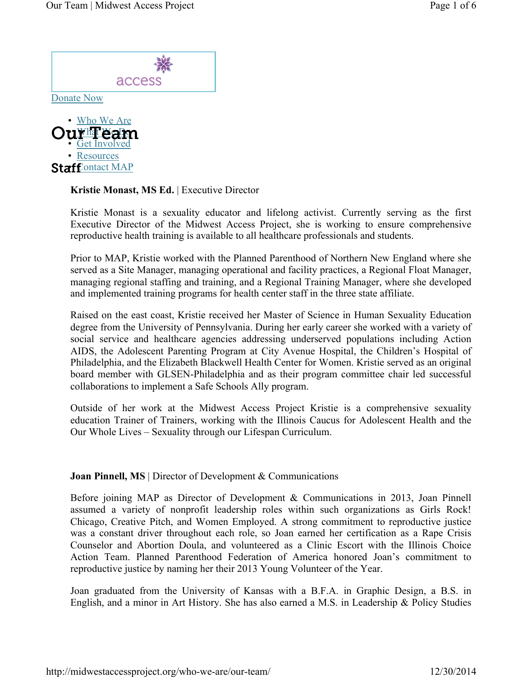



Kristie Monast, MS Ed. | Executive Director

Kristie Monast is a sexuality educator and lifelong activist. Currently serving as the first Executive Director of the Midwest Access Project, she is working to ensure comprehensive reproductive health training is available to all healthcare professionals and students.

Prior to MAP, Kristie worked with the Planned Parenthood of Northern New England where she served as a Site Manager, managing operational and facility practices, a Regional Float Manager, managing regional staffing and training, and a Regional Training Manager, where she developed and implemented training programs for health center staff in the three state affiliate.

Raised on the east coast, Kristie received her Master of Science in Human Sexuality Education degree from the University of Pennsylvania. During her early career she worked with a variety of social service and healthcare agencies addressing underserved populations including Action AIDS, the Adolescent Parenting Program at City Avenue Hospital, the Children's Hospital of Philadelphia, and the Elizabeth Blackwell Health Center for Women. Kristie served as an original board member with GLSEN-Philadelphia and as their program committee chair led successful collaborations to implement a Safe Schools Ally program.

Outside of her work at the Midwest Access Project Kristie is a comprehensive sexuality education Trainer of Trainers, working with the Illinois Caucus for Adolescent Health and the Our Whole Lives – Sexuality through our Lifespan Curriculum.

**Joan Pinnell, MS** | Director of Development & Communications

Before joining MAP as Director of Development & Communications in 2013, Joan Pinnell assumed a variety of nonprofit leadership roles within such organizations as Girls Rock! Chicago, Creative Pitch, and Women Employed. A strong commitment to reproductive justice was a constant driver throughout each role, so Joan earned her certification as a Rape Crisis Counselor and Abortion Doula, and volunteered as a Clinic Escort with the Illinois Choice Action Team. Planned Parenthood Federation of America honored Joan's commitment to reproductive justice by naming her their 2013 Young Volunteer of the Year.

Joan graduated from the University of Kansas with a B.F.A. in Graphic Design, a B.S. in English, and a minor in Art History. She has also earned a M.S. in Leadership & Policy Studies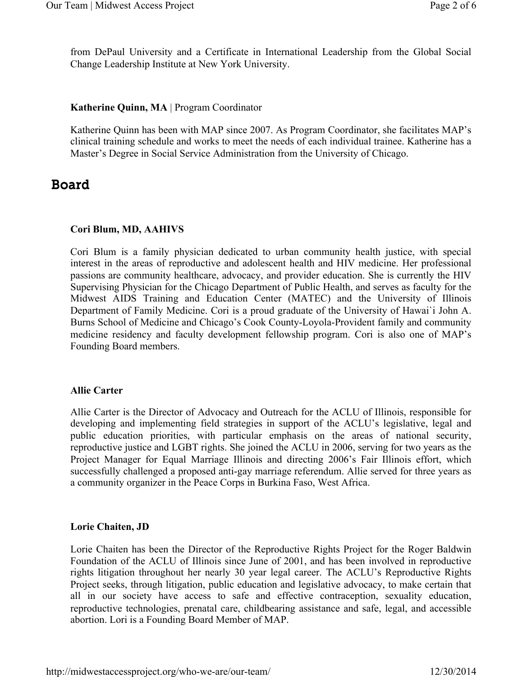from DePaul University and a Certificate in International Leadership from the Global Social Change Leadership Institute at New York University.

### Katherine Quinn, MA | Program Coordinator

Katherine Quinn has been with MAP since 2007. As Program Coordinator, she facilitates MAP's clinical training schedule and works to meet the needs of each individual trainee. Katherine has a Master's Degree in Social Service Administration from the University of Chicago.

## Board

## Cori Blum, MD, AAHIVS

Cori Blum is a family physician dedicated to urban community health justice, with special interest in the areas of reproductive and adolescent health and HIV medicine. Her professional passions are community healthcare, advocacy, and provider education. She is currently the HIV Supervising Physician for the Chicago Department of Public Health, and serves as faculty for the Midwest AIDS Training and Education Center (MATEC) and the University of Illinois Department of Family Medicine. Cori is a proud graduate of the University of Hawai`i John A. Burns School of Medicine and Chicago's Cook County-Loyola-Provident family and community medicine residency and faculty development fellowship program. Cori is also one of MAP's Founding Board members.

### Allie Carter

Allie Carter is the Director of Advocacy and Outreach for the ACLU of Illinois, responsible for developing and implementing field strategies in support of the ACLU's legislative, legal and public education priorities, with particular emphasis on the areas of national security, reproductive justice and LGBT rights. She joined the ACLU in 2006, serving for two years as the Project Manager for Equal Marriage Illinois and directing 2006's Fair Illinois effort, which successfully challenged a proposed anti-gay marriage referendum. Allie served for three years as a community organizer in the Peace Corps in Burkina Faso, West Africa.

### Lorie Chaiten, JD

Lorie Chaiten has been the Director of the Reproductive Rights Project for the Roger Baldwin Foundation of the ACLU of Illinois since June of 2001, and has been involved in reproductive rights litigation throughout her nearly 30 year legal career. The ACLU's Reproductive Rights Project seeks, through litigation, public education and legislative advocacy, to make certain that all in our society have access to safe and effective contraception, sexuality education, reproductive technologies, prenatal care, childbearing assistance and safe, legal, and accessible abortion. Lori is a Founding Board Member of MAP.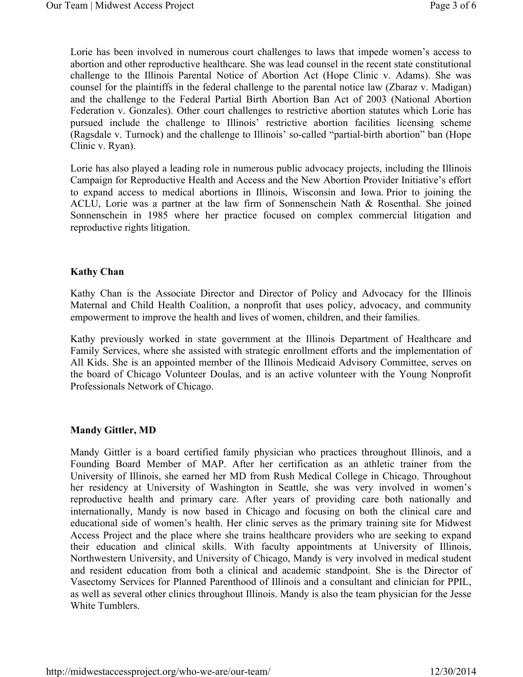Lorie has been involved in numerous court challenges to laws that impede women's access to abortion and other reproductive healthcare. She was lead counsel in the recent state constitutional challenge to the Illinois Parental Notice of Abortion Act (Hope Clinic v. Adams). She was counsel for the plaintiffs in the federal challenge to the parental notice law (Zbaraz v. Madigan) and the challenge to the Federal Partial Birth Abortion Ban Act of 2003 (National Abortion Federation v. Gonzales). Other court challenges to restrictive abortion statutes which Lorie has pursued include the challenge to Illinois' restrictive abortion facilities licensing scheme (Ragsdale v. Turnock) and the challenge to Illinois' so-called "partial-birth abortion" ban (Hope Clinic v. Ryan).

Lorie has also played a leading role in numerous public advocacy projects, including the Illinois Campaign for Reproductive Health and Access and the New Abortion Provider Initiative's effort to expand access to medical abortions in Illinois, Wisconsin and Iowa. Prior to joining the ACLU, Lorie was a partner at the law firm of Sonnenschein Nath & Rosenthal. She joined Sonnenschein in 1985 where her practice focused on complex commercial litigation and reproductive rights litigation.

#### Kathy Chan

Kathy Chan is the Associate Director and Director of Policy and Advocacy for the Illinois Maternal and Child Health Coalition, a nonprofit that uses policy, advocacy, and community empowerment to improve the health and lives of women, children, and their families.

Kathy previously worked in state government at the Illinois Department of Healthcare and Family Services, where she assisted with strategic enrollment efforts and the implementation of All Kids. She is an appointed member of the Illinois Medicaid Advisory Committee, serves on the board of Chicago Volunteer Doulas, and is an active volunteer with the Young Nonprofit Professionals Network of Chicago.

### Mandy Gittler, MD

Mandy Gittler is a board certified family physician who practices throughout Illinois, and a Founding Board Member of MAP. After her certification as an athletic trainer from the University of Illinois, she earned her MD from Rush Medical College in Chicago. Throughout her residency at University of Washington in Seattle, she was very involved in women's reproductive health and primary care. After years of providing care both nationally and internationally, Mandy is now based in Chicago and focusing on both the clinical care and educational side of women's health. Her clinic serves as the primary training site for Midwest Access Project and the place where she trains healthcare providers who are seeking to expand their education and clinical skills. With faculty appointments at University of Illinois, Northwestern University, and University of Chicago, Mandy is very involved in medical student and resident education from both a clinical and academic standpoint. She is the Director of Vasectomy Services for Planned Parenthood of Illinois and a consultant and clinician for PPIL, as well as several other clinics throughout Illinois. Mandy is also the team physician for the Jesse White Tumblers.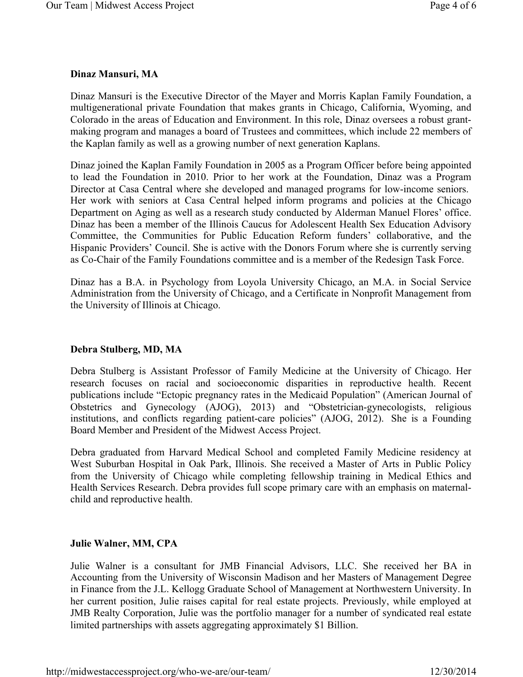## Dinaz Mansuri, MA

Dinaz Mansuri is the Executive Director of the Mayer and Morris Kaplan Family Foundation, a multigenerational private Foundation that makes grants in Chicago, California, Wyoming, and Colorado in the areas of Education and Environment. In this role, Dinaz oversees a robust grantmaking program and manages a board of Trustees and committees, which include 22 members of the Kaplan family as well as a growing number of next generation Kaplans.

Dinaz joined the Kaplan Family Foundation in 2005 as a Program Officer before being appointed to lead the Foundation in 2010. Prior to her work at the Foundation, Dinaz was a Program Director at Casa Central where she developed and managed programs for low-income seniors. Her work with seniors at Casa Central helped inform programs and policies at the Chicago Department on Aging as well as a research study conducted by Alderman Manuel Flores' office. Dinaz has been a member of the Illinois Caucus for Adolescent Health Sex Education Advisory Committee, the Communities for Public Education Reform funders' collaborative, and the Hispanic Providers' Council. She is active with the Donors Forum where she is currently serving as Co-Chair of the Family Foundations committee and is a member of the Redesign Task Force.

Dinaz has a B.A. in Psychology from Loyola University Chicago, an M.A. in Social Service Administration from the University of Chicago, and a Certificate in Nonprofit Management from the University of Illinois at Chicago.

## Debra Stulberg, MD, MA

Debra Stulberg is Assistant Professor of Family Medicine at the University of Chicago. Her research focuses on racial and socioeconomic disparities in reproductive health. Recent publications include "Ectopic pregnancy rates in the Medicaid Population" (American Journal of Obstetrics and Gynecology (AJOG), 2013) and "Obstetrician-gynecologists, religious institutions, and conflicts regarding patient-care policies" (AJOG, 2012). She is a Founding Board Member and President of the Midwest Access Project.

Debra graduated from Harvard Medical School and completed Family Medicine residency at West Suburban Hospital in Oak Park, Illinois. She received a Master of Arts in Public Policy from the University of Chicago while completing fellowship training in Medical Ethics and Health Services Research. Debra provides full scope primary care with an emphasis on maternalchild and reproductive health.

## Julie Walner, MM, CPA

Julie Walner is a consultant for JMB Financial Advisors, LLC. She received her BA in Accounting from the University of Wisconsin Madison and her Masters of Management Degree in Finance from the J.L. Kellogg Graduate School of Management at Northwestern University. In her current position, Julie raises capital for real estate projects. Previously, while employed at JMB Realty Corporation, Julie was the portfolio manager for a number of syndicated real estate limited partnerships with assets aggregating approximately \$1 Billion.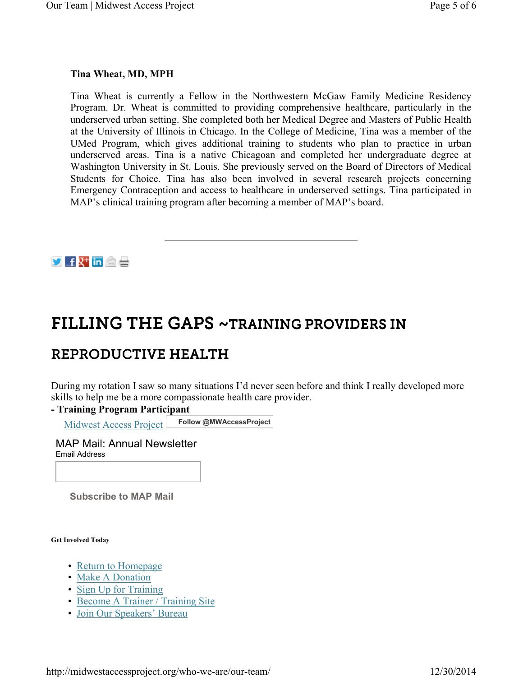## Tina Wheat, MD, MPH

Tina Wheat is currently a Fellow in the Northwestern McGaw Family Medicine Residency Program. Dr. Wheat is committed to providing comprehensive healthcare, particularly in the underserved urban setting. She completed both her Medical Degree and Masters of Public Health at the University of Illinois in Chicago. In the College of Medicine, Tina was a member of the UMed Program, which gives additional training to students who plan to practice in urban underserved areas. Tina is a native Chicagoan and completed her undergraduate degree at Washington University in St. Louis. She previously served on the Board of Directors of Medical Students for Choice. Tina has also been involved in several research projects concerning Emergency Contraception and access to healthcare in underserved settings. Tina participated in MAP's clinical training program after becoming a member of MAP's board.



# FILLING THE GAPS ~TRAINING PROVIDERS IN

## REPRODUCTIVE HEALTH

During my rotation I saw so many situations I'd never seen before and think I really developed more skills to help me be a more compassionate health care provider.

### - Training Program Participant

Midwest Access Project Follow @MWAccessProject

MAP Mail: Annual Newsletter Email Address

Subscribe to MAP Mail

Get Involved Today

- Return to Homepage
- Make A Donation
- Sign Up for Training
- Become A Trainer / Training Site
- Join Our Speakers' Bureau